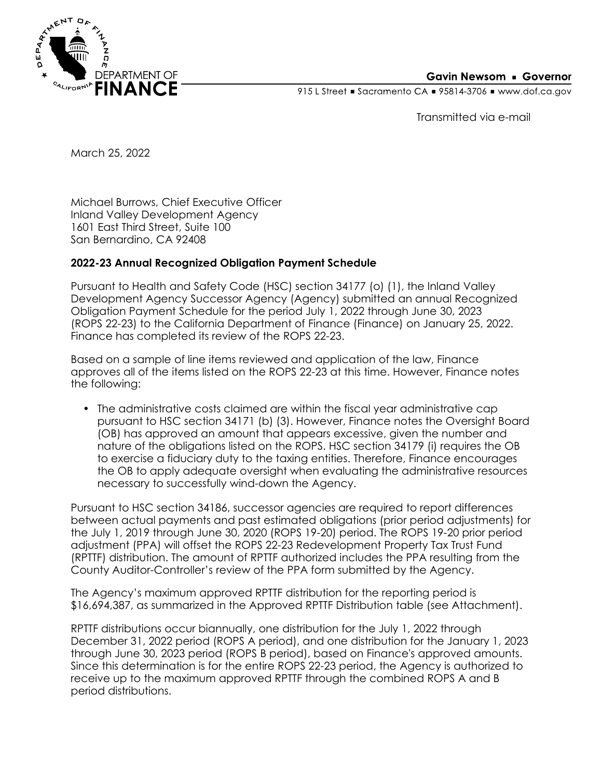

## **Gavin Newsom • Governor**

915 L Street Gacramento CA = 95814-3706 Www.dof.ca.gov

Transmitted via e-mail

March 25, 2022

Michael Burrows, Chief Executive Officer Inland Valley Development Agency 1601 East Third Street, Suite 100 San Bernardino, CA 92408

## **2022-23 Annual Recognized Obligation Payment Schedule**

Pursuant to Health and Safety Code (HSC) section 34177 (o) (1), the Inland Valley Development Agency Successor Agency (Agency) submitted an annual Recognized Obligation Payment Schedule for the period July 1, 2022 through June 30, 2023 (ROPS 22-23) to the California Department of Finance (Finance) on January 25, 2022. Finance has completed its review of the ROPS 22-23.

Based on a sample of line items reviewed and application of the law, Finance approves all of the items listed on the ROPS 22-23 at this time. However, Finance notes the following:

• The administrative costs claimed are within the fiscal year administrative cap pursuant to HSC section 34171 (b) (3). However, Finance notes the Oversight Board (OB) has approved an amount that appears excessive, given the number and nature of the obligations listed on the ROPS. HSC section 34179 (i) requires the OB to exercise a fiduciary duty to the taxing entities. Therefore, Finance encourages the OB to apply adequate oversight when evaluating the administrative resources necessary to successfully wind-down the Agency.

Pursuant to HSC section 34186, successor agencies are required to report differences between actual payments and past estimated obligations (prior period adjustments) for the July 1, 2019 through June 30, 2020 (ROPS 19-20) period. The ROPS 19-20 prior period adjustment (PPA) will offset the ROPS 22-23 Redevelopment Property Tax Trust Fund (RPTTF) distribution. The amount of RPTTF authorized includes the PPA resulting from the County Auditor-Controller's review of the PPA form submitted by the Agency.

The Agency's maximum approved RPTTF distribution for the reporting period is \$16,694,387, as summarized in the Approved RPTTF Distribution table (see Attachment).

RPTTF distributions occur biannually, one distribution for the July 1, 2022 through December 31, 2022 period (ROPS A period), and one distribution for the January 1, 2023 through June 30, 2023 period (ROPS B period), based on Finance's approved amounts. Since this determination is for the entire ROPS 22-23 period, the Agency is authorized to receive up to the maximum approved RPTTF through the combined ROPS A and B period distributions.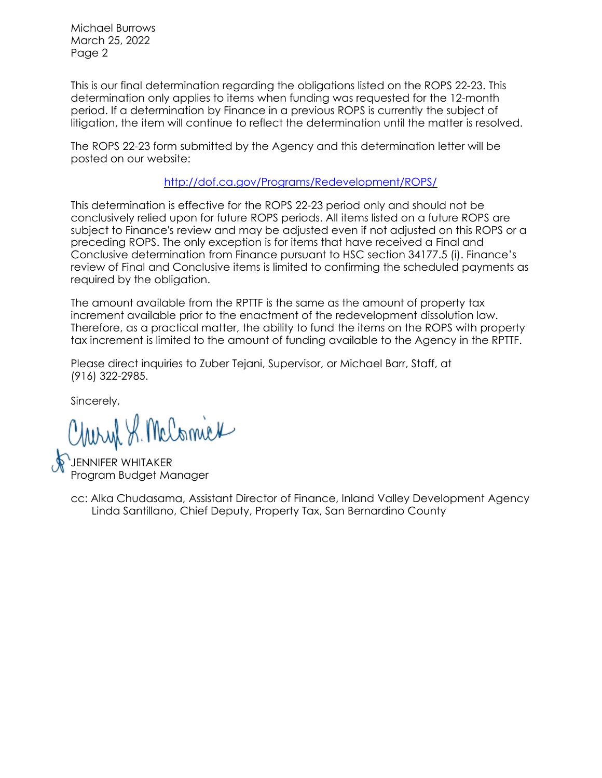Michael Burrows March 25, 2022 Page 2

This is our final determination regarding the obligations listed on the ROPS 22-23. This determination only applies to items when funding was requested for the 12-month period. If a determination by Finance in a previous ROPS is currently the subject of litigation, the item will continue to reflect the determination until the matter is resolved.

The ROPS 22-23 form submitted by the Agency and this determination letter will be posted on our website:

<http://dof.ca.gov/Programs/Redevelopment/ROPS/>

This determination is effective for the ROPS 22-23 period only and should not be conclusively relied upon for future ROPS periods. All items listed on a future ROPS are subject to Finance's review and may be adjusted even if not adjusted on this ROPS or a preceding ROPS. The only exception is for items that have received a Final and Conclusive determination from Finance pursuant to HSC section 34177.5 (i). Finance's review of Final and Conclusive items is limited to confirming the scheduled payments as required by the obligation.

The amount available from the RPTTF is the same as the amount of property tax increment available prior to the enactment of the redevelopment dissolution law. Therefore, as a practical matter, the ability to fund the items on the ROPS with property tax increment is limited to the amount of funding available to the Agency in the RPTTF.

Please direct inquiries to Zuber Tejani, Supervisor, or Michael Barr, Staff, at (916) 322-2985.

Sincerely,

Charyl S. McComick

JENNIFER WHITAKER Program Budget Manager

Linda Santillano, Chief Deputy, Property Tax, San Bernardino County cc: Alka Chudasama, Assistant Director of Finance, Inland Valley Development Agency